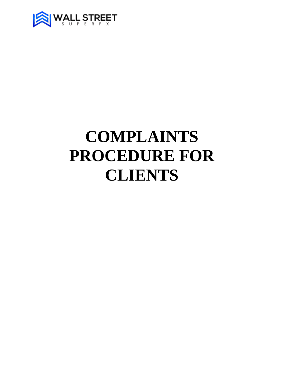

# **COMPLAINTS PROCEDURE FOR CLIENTS**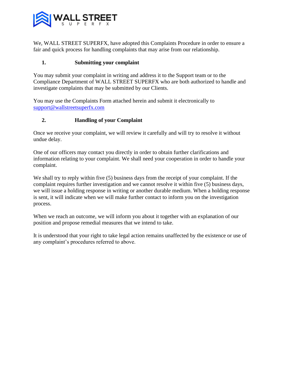

We, WALL STREET SUPERFX, have adopted this Complaints Procedure in order to ensure a fair and quick process for handling complaints that may arise from our relationship.

## **1. Submitting your complaint**

You may submit your complaint in writing and address it to the Support team or to the Compliance Department of WALL STREET SUPERFX who are both authorized to handle and investigate complaints that may be submitted by our Clients.

You may use the Complaints Form attached herein and submit it electronically to [support@wallstreetsuperfx.com](mailto:support@wallstreetsuperfx.com)

# **2. Handling of your Complaint**

Once we receive your complaint, we will review it carefully and will try to resolve it without undue delay.

One of our officers may contact you directly in order to obtain further clarifications and information relating to your complaint. We shall need your cooperation in order to handle your complaint.

We shall try to reply within five (5) business days from the receipt of your complaint. If the complaint requires further investigation and we cannot resolve it within five (5) business days, we will issue a holding response in writing or another durable medium. When a holding response is sent, it will indicate when we will make further contact to inform you on the investigation process.

When we reach an outcome, we will inform you about it together with an explanation of our position and propose remedial measures that we intend to take.

It is understood that your right to take legal action remains unaffected by the existence or use of any complaint's procedures referred to above.